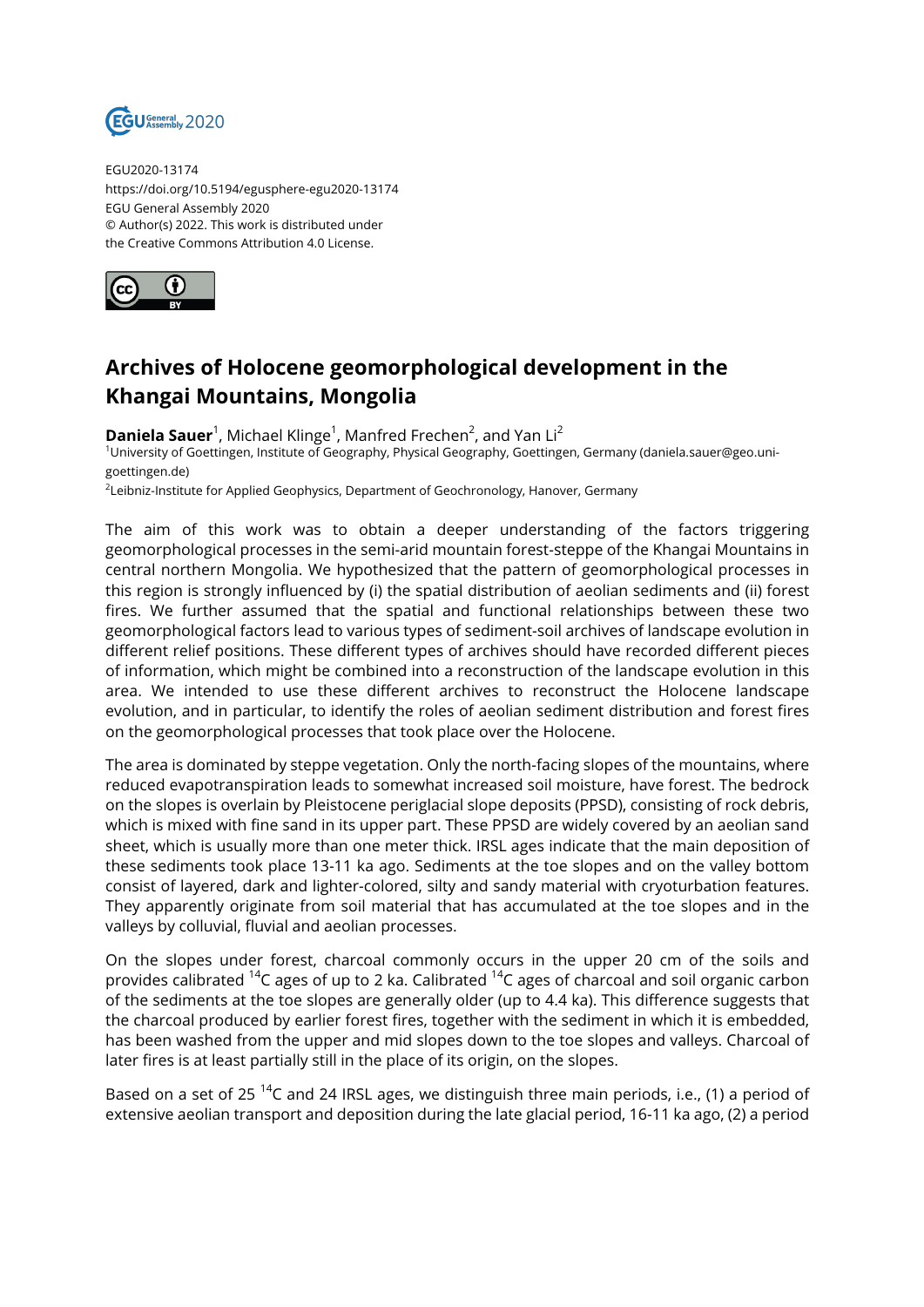

EGU2020-13174 https://doi.org/10.5194/egusphere-egu2020-13174 EGU General Assembly 2020 © Author(s) 2022. This work is distributed under the Creative Commons Attribution 4.0 License.



## **Archives of Holocene geomorphological development in the Khangai Mountains, Mongolia**

**Daniela Sauer**<sup>1</sup>, Michael Klinge<sup>1</sup>, Manfred Frechen<sup>2</sup>, and Yan Li<sup>2</sup> <sup>1</sup>University of Goettingen, Institute of Geography, Physical Geography, Goettingen, Germany (daniela.sauer@geo.unigoettingen.de)

 $^2$ Leibniz-Institute for Applied Geophysics, Department of Geochronology, Hanover, Germany

The aim of this work was to obtain a deeper understanding of the factors triggering geomorphological processes in the semi-arid mountain forest-steppe of the Khangai Mountains in central northern Mongolia. We hypothesized that the pattern of geomorphological processes in this region is strongly influenced by (i) the spatial distribution of aeolian sediments and (ii) forest fires. We further assumed that the spatial and functional relationships between these two geomorphological factors lead to various types of sediment-soil archives of landscape evolution in different relief positions. These different types of archives should have recorded different pieces of information, which might be combined into a reconstruction of the landscape evolution in this area. We intended to use these different archives to reconstruct the Holocene landscape evolution, and in particular, to identify the roles of aeolian sediment distribution and forest fires on the geomorphological processes that took place over the Holocene.

The area is dominated by steppe vegetation. Only the north-facing slopes of the mountains, where reduced evapotranspiration leads to somewhat increased soil moisture, have forest. The bedrock on the slopes is overlain by Pleistocene periglacial slope deposits (PPSD), consisting of rock debris, which is mixed with fine sand in its upper part. These PPSD are widely covered by an aeolian sand sheet, which is usually more than one meter thick. IRSL ages indicate that the main deposition of these sediments took place 13-11 ka ago. Sediments at the toe slopes and on the valley bottom consist of layered, dark and lighter-colored, silty and sandy material with cryoturbation features. They apparently originate from soil material that has accumulated at the toe slopes and in the valleys by colluvial, fluvial and aeolian processes.

On the slopes under forest, charcoal commonly occurs in the upper 20 cm of the soils and provides calibrated <sup>14</sup>C ages of up to 2 ka. Calibrated <sup>14</sup>C ages of charcoal and soil organic carbon of the sediments at the toe slopes are generally older (up to 4.4 ka). This difference suggests that the charcoal produced by earlier forest fires, together with the sediment in which it is embedded, has been washed from the upper and mid slopes down to the toe slopes and valleys. Charcoal of later fires is at least partially still in the place of its origin, on the slopes.

Based on a set of 25<sup>14</sup>C and 24 IRSL ages, we distinguish three main periods, i.e., (1) a period of extensive aeolian transport and deposition during the late glacial period, 16-11 ka ago, (2) a period